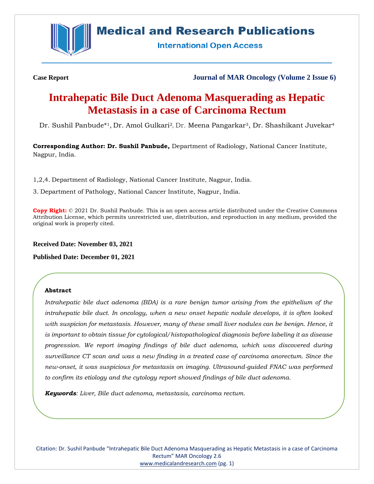

# **Medical and Research Publications**

**International Open Access** 

**Case Report Journal of MAR Oncology (Volume 2 Issue 6)**

# **Intrahepatic Bile Duct Adenoma Masquerading as Hepatic Metastasis in a case of Carcinoma Rectum**

Dr. Sushil Panbude\* <sup>1</sup>, Dr. Amol Gulkari<sup>2</sup>, Dr. Meena Pangarkar3, Dr. Shashikant Juvekar<sup>4</sup>

**Corresponding Author: Dr. Sushil Panbude,** Department of Radiology, National Cancer Institute, Nagpur, India.

1,2,4. Department of Radiology, National Cancer Institute, Nagpur, India.

3. Department of Pathology, National Cancer Institute, Nagpur, India.

**Copy Right:** © 2021 Dr. Sushil Panbude. This is an open access article distributed under the Creative Commons Attribution License, which permits unrestricted use, distribution, and reproduction in any medium, provided the original work is properly cited.

**Received Date: November 03, 2021**

**Published Date: December 01, 2021**

# **Abstract**

*Intrahepatic bile duct adenoma (BDA) is a rare benign tumor arising from the epithelium of the intrahepatic bile duct. In oncology, when a new onset hepatic nodule develops, it is often looked with suspicion for metastasis. However, many of these small liver nodules can be benign. Hence, it is important to obtain tissue for cytological/histopathological diagnosis before labeling it as disease progression. We report imaging findings of bile duct adenoma, which was discovered during surveillance CT scan and was a new finding in a treated case of carcinoma anorectum. Since the new-onset, it was suspicious for metastasis on imaging. Ultrasound-guided FNAC was performed to confirm its etiology and the cytology report showed findings of bile duct adenoma.* 

*Keywords: Liver, Bile duct adenoma, metastasis, carcinoma rectum.*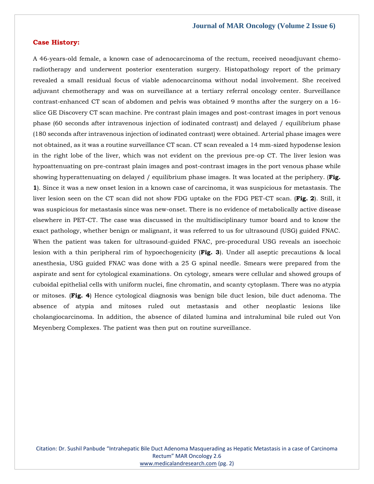## **Case History:**

A 46-years-old female, a known case of adenocarcinoma of the rectum, received neoadjuvant chemoradiotherapy and underwent posterior exenteration surgery. Histopathology report of the primary revealed a small residual focus of viable adenocarcinoma without nodal involvement. She received adjuvant chemotherapy and was on surveillance at a tertiary referral oncology center. Surveillance contrast-enhanced CT scan of abdomen and pelvis was obtained 9 months after the surgery on a 16 slice GE Discovery CT scan machine. Pre contrast plain images and post-contrast images in port venous phase (60 seconds after intravenous injection of iodinated contrast) and delayed / equilibrium phase (180 seconds after intravenous injection of iodinated contrast) were obtained. Arterial phase images were not obtained, as it was a routine surveillance CT scan. CT scan revealed a 14 mm-sized hypodense lesion in the right lobe of the liver, which was not evident on the previous pre-op CT. The liver lesion was hypoattenuating on pre-contrast plain images and post-contrast images in the port venous phase while showing hyperattenuating on delayed / equilibrium phase images. It was located at the periphery. (**Fig. 1**). Since it was a new onset lesion in a known case of carcinoma, it was suspicious for metastasis. The liver lesion seen on the CT scan did not show FDG uptake on the FDG PET-CT scan. (**Fig. 2**). Still, it was suspicious for metastasis since was new-onset. There is no evidence of metabolically active disease elsewhere in PET-CT. The case was discussed in the multidisciplinary tumor board and to know the exact pathology, whether benign or malignant, it was referred to us for ultrasound (USG) guided FNAC. When the patient was taken for ultrasound-guided FNAC, pre-procedural USG reveals an isoechoic lesion with a thin peripheral rim of hypoechogenicity (**Fig. 3**). Under all aseptic precautions & local anesthesia, USG guided FNAC was done with a 25 G spinal needle. Smears were prepared from the aspirate and sent for cytological examinations. On cytology, smears were cellular and showed groups of cuboidal epithelial cells with uniform nuclei, fine chromatin, and scanty cytoplasm. There was no atypia or mitoses. (**Fig. 4**) Hence cytological diagnosis was benign bile duct lesion, bile duct adenoma. The absence of atypia and mitoses ruled out metastasis and other neoplastic lesions like cholangiocarcinoma. In addition, the absence of dilated lumina and intraluminal bile ruled out Von Meyenberg Complexes. The patient was then put on routine surveillance.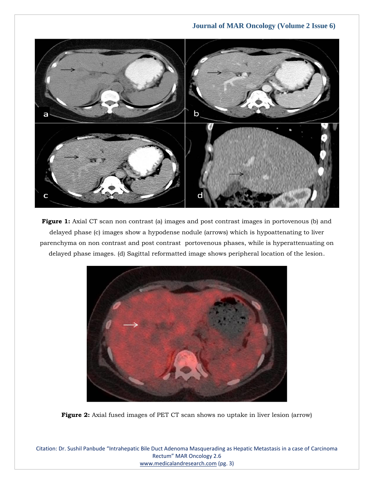

Figure 1: Axial CT scan non contrast (a) images and post contrast images in portovenous (b) and delayed phase (c) images show a hypodense nodule (arrows) which is hypoattenating to liver parenchyma on non contrast and post contrast portovenous phases, while is hyperattenuating on delayed phase images. (d) Sagittal reformatted image shows peripheral location of the lesion.



**Figure 2:** Axial fused images of PET CT scan shows no uptake in liver lesion (arrow)

Citation: Dr. Sushil Panbude "Intrahepatic Bile Duct Adenoma Masquerading as Hepatic Metastasis in a case of Carcinoma Rectum" MAR Oncology 2.6 [www.medicalandresearch.com](http://www.medicalandresearch.com/) (pg. 3)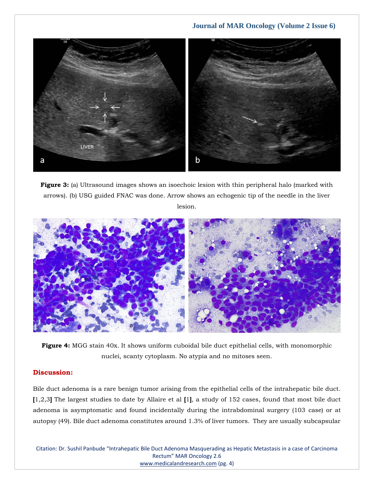

**Figure 3:** (a) Ultrasound images shows an isoechoic lesion with thin peripheral halo (marked with arrows). (b) USG guided FNAC was done. Arrow shows an echogenic tip of the needle in the liver

lesion.



**Figure 4:** MGG stain 40x. It shows uniform cuboidal bile duct epithelial cells, with monomorphic nuclei, scanty cytoplasm. No atypia and no mitoses seen.

## **Discussion:**

Bile duct adenoma is a rare benign tumor arising from the epithelial cells of the intrahepatic bile duct. **[**1,2,3**]** The largest studies to date by Allaire et al **[**1**]**, a study of 152 cases, found that most bile duct adenoma is asymptomatic and found incidentally during the intrabdominal surgery (103 case) or at autopsy (49). Bile duct adenoma constitutes around 1.3% of liver tumors. They are usually subcapsular

Citation: Dr. Sushil Panbude "Intrahepatic Bile Duct Adenoma Masquerading as Hepatic Metastasis in a case of Carcinoma Rectum" MAR Oncology 2.6 [www.medicalandresearch.com](http://www.medicalandresearch.com/) (pg. 4)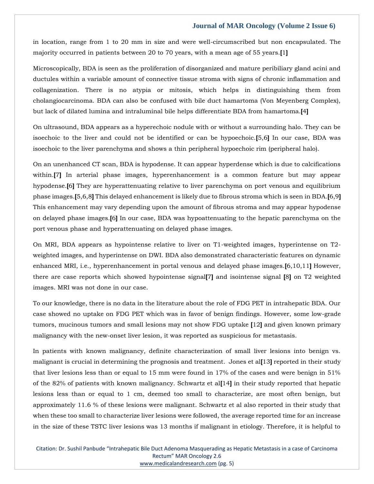in location, range from 1 to 20 mm in size and were well-circumscribed but non encapsulated. The majority occurred in patients between 20 to 70 years, with a mean age of 55 years.**[**1**]**

Microscopically, BDA is seen as the proliferation of disorganized and mature peribiliary gland acini and ductules within a variable amount of connective tissue stroma with signs of chronic inflammation and collagenization. There is no atypia or mitosis, which helps in distinguishing them from cholangiocarcinoma. BDA can also be confused with bile duct hamartoma (Von Meyenberg Complex), but lack of dilated lumina and intraluminal bile helps differentiate BDA from hamartoma.**[**4**]**

On ultrasound, BDA appears as a hyperechoic nodule with or without a surrounding halo. They can be isoechoic to the liver and could not be identified or can be hypoechoic.**[**5,6**]** In our case, BDA was isoechoic to the liver parenchyma and shows a thin peripheral hypoechoic rim (peripheral halo).

On an unenhanced CT scan, BDA is hypodense. It can appear hyperdense which is due to calcifications within.**[**7**]** In arterial phase images, hyperenhancement is a common feature but may appear hypodense.**[**6**]** They are hyperattenuating relative to liver parenchyma on port venous and equilibrium phase images.**[**5,6,8**]** This delayed enhancement is likely due to fibrous stroma which is seen in BDA.**[**6,9**]** This enhancement may vary depending upon the amount of fibrous stroma and may appear hypodense on delayed phase images.**[**6**]** In our case, BDA was hypoattenuating to the hepatic parenchyma on the port venous phase and hyperattenuating on delayed phase images.

On MRI, BDA appears as hypointense relative to liver on T1-weighted images, hyperintense on T2 weighted images, and hyperintense on DWI. BDA also demonstrated characteristic features on dynamic enhanced MRI, i.e., hyperenhancement in portal venous and delayed phase images.**[**6,10,11**]** However, there are case reports which showed hypointense signal**[**7**]** and isointense signal **[**8**]** on T2 weighted images. MRI was not done in our case.

To our knowledge, there is no data in the literature about the role of FDG PET in intrahepatic BDA. Our case showed no uptake on FDG PET which was in favor of benign findings. However, some low-grade tumors, mucinous tumors and small lesions may not show FDG uptake **[**12**]** and given known primary malignancy with the new-onset liver lesion, it was reported as suspicious for metastasis.

In patients with known malignancy, definite characterization of small liver lesions into benign vs. malignant is crucial in determining the prognosis and treatment. Jones et al**[**13**]** reported in their study that liver lesions less than or equal to 15 mm were found in 17% of the cases and were benign in 51% of the 82% of patients with known malignancy. Schwartz et al**[**14**]** in their study reported that hepatic lesions less than or equal to 1 cm, deemed too small to characterize, are most often benign, but approximately 11.6 % of these lesions were malignant. Schwartz et al also reported in their study that when these too small to characterize liver lesions were followed, the average reported time for an increase in the size of these TSTC liver lesions was 13 months if malignant in etiology. Therefore, it is helpful to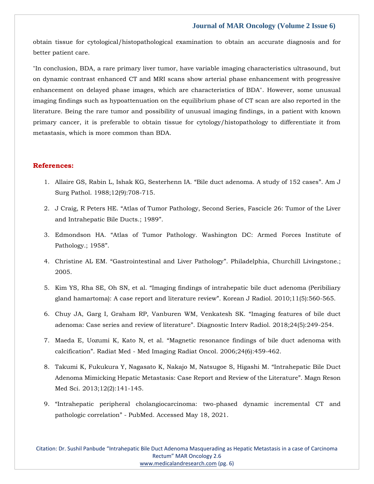obtain tissue for cytological/histopathological examination to obtain an accurate diagnosis and for better patient care.

"In conclusion, BDA, a rare primary liver tumor, have variable imaging characteristics ultrasound, but on dynamic contrast enhanced CT and MRI scans show arterial phase enhancement with progressive enhancement on delayed phase images, which are characteristics of BDA". However, some unusual imaging findings such as hypoattenuation on the equilibrium phase of CT scan are also reported in the literature. Being the rare tumor and possibility of unusual imaging findings, in a patient with known primary cancer, it is preferable to obtain tissue for cytology/histopathology to differentiate it from metastasis, which is more common than BDA.

### **References:**

- 1. [Allaire GS, Rabin L, Ishak KG, Sesterhenn IA.](https://www.google.com/search?q=A+study+of+152+cases&oq=A+study+of+152+cases&aqs=chrome..69i57.920j0j7&sourceid=chrome&ie=UTF-8) "Bile duct adenoma. A study of 152 cases". Am J [Surg Pathol. 1988;12\(9\):708-715.](https://www.google.com/search?q=A+study+of+152+cases&oq=A+study+of+152+cases&aqs=chrome..69i57.920j0j7&sourceid=chrome&ie=UTF-8)
- 2. J Craig, R Peters HE. "[Atlas of Tumor Pathology, Second Series, Fascicle 26: Tumor of the Liver](https://www.google.com/search?q=Atlas+of+Tumor+Pathology%2C+Second+Series%2C+Fascicle+26%3A+Tumor+of+the+Liver+and+Intrahepatic+Bile+Ducts&sxsrf=AOaemvJ5DH_ytEaZ9aN2nmYjHQ3V2zLLUg%3A1636294168081&ei=GN6HYaWhBK-I4-EPoMWQgAI&oq=Atlas+of+Tumor+Pathology%2C+Second+Series%2C+Fascicle+26%3A+Tumor+of+the+Liver+and+Intrahepatic+Bile+Ducts&gs_lcp=Cgdnd3Mtd2l6EAM6BwgjEOoCECdKBAhBGABQ7wVY7wVg9gdoAXAAeACAAZYBiAGWAZIBAzAuMZgBAKABAaABArABCsABAQ&sclient=gws-wiz&ved=0ahUKEwiljYvltob0AhUvxDgGHaAiBCAQ4dUDCA4&uact=5)  [and Intrahepatic Bile Ducts.; 1989](https://www.google.com/search?q=Atlas+of+Tumor+Pathology%2C+Second+Series%2C+Fascicle+26%3A+Tumor+of+the+Liver+and+Intrahepatic+Bile+Ducts&sxsrf=AOaemvJ5DH_ytEaZ9aN2nmYjHQ3V2zLLUg%3A1636294168081&ei=GN6HYaWhBK-I4-EPoMWQgAI&oq=Atlas+of+Tumor+Pathology%2C+Second+Series%2C+Fascicle+26%3A+Tumor+of+the+Liver+and+Intrahepatic+Bile+Ducts&gs_lcp=Cgdnd3Mtd2l6EAM6BwgjEOoCECdKBAhBGABQ7wVY7wVg9gdoAXAAeACAAZYBiAGWAZIBAzAuMZgBAKABAaABArABCsABAQ&sclient=gws-wiz&ved=0ahUKEwiljYvltob0AhUvxDgGHaAiBCAQ4dUDCA4&uact=5)".
- 3. Edmondson HA. "[Atlas of Tumor Pathology. Washington DC: Armed Forces Institute of](https://www.google.com/search?q=Atlas+of+Tumor+Pathology.+Washington+DC%3A+Armed+Forces+Institute+of+Pathology.%3B+1958&sxsrf=AOaemvJfgQXYiww3sSrR9Tho8MJ08hsliw%3A1636294201204&ei=Od6HYavGC4vF4-EPr9mQsAc&oq=Atlas+of+Tumor+Pathology.+Washington+DC%3A+Armed+Forces+Institute+of+Pathology.%3B+1958&gs_lcp=Cgdnd3Mtd2l6EAM6BwgjEOoCECdKBAhBGABQ9AVY9AVg9AhoAXAAeACAAbUBiAG1AZIBAzAuMZgBAKABAaABArABCsABAQ&sclient=gws-wiz&ved=0ahUKEwjrxvD0tob0AhWL4jgGHa8sBHYQ4dUDCA4&uact=5)  [Pathology.; 1958](https://www.google.com/search?q=Atlas+of+Tumor+Pathology.+Washington+DC%3A+Armed+Forces+Institute+of+Pathology.%3B+1958&sxsrf=AOaemvJfgQXYiww3sSrR9Tho8MJ08hsliw%3A1636294201204&ei=Od6HYavGC4vF4-EPr9mQsAc&oq=Atlas+of+Tumor+Pathology.+Washington+DC%3A+Armed+Forces+Institute+of+Pathology.%3B+1958&gs_lcp=Cgdnd3Mtd2l6EAM6BwgjEOoCECdKBAhBGABQ9AVY9AVg9AhoAXAAeACAAbUBiAG1AZIBAzAuMZgBAKABAaABArABCsABAQ&sclient=gws-wiz&ved=0ahUKEwjrxvD0tob0AhWL4jgGHa8sBHYQ4dUDCA4&uact=5)".
- 4. Christine AL EM. "Gastrointestinal and Liver Pathology"[. Philadelphia, Churchill Livingstone.;](https://www.google.com/search?q=Gastrointestinal+and+Liver+Pathology&sxsrf=AOaemvJlBL-iK3qxbuQRq3FIPWetL5cptQ%3A1636294226875&ei=Ut6HYbbINLSG4-EPmvCy2Aw&oq=Gastrointestinal+and+Liver+Pathology&gs_lcp=Cgdnd3Mtd2l6EAMyCAguEIAEEJMCMgYIABAWEB4yBggAEBYQHjIGCAAQFhAeMgYIABAWEB46BwgjEOoCECdKBAhBGABQ4QhY4Qhg9gpoAXAAeACAAZoBiAGaAZIBAzAuMZgBAKABAaABArABCsABAQ&sclient=gws-wiz&ved=0ahUKEwi2uY-Bt4b0AhU0wzgGHRq4DMsQ4dUDCA4&uact=5)  [2005.](https://www.google.com/search?q=Gastrointestinal+and+Liver+Pathology&sxsrf=AOaemvJlBL-iK3qxbuQRq3FIPWetL5cptQ%3A1636294226875&ei=Ut6HYbbINLSG4-EPmvCy2Aw&oq=Gastrointestinal+and+Liver+Pathology&gs_lcp=Cgdnd3Mtd2l6EAMyCAguEIAEEJMCMgYIABAWEB4yBggAEBYQHjIGCAAQFhAeMgYIABAWEB46BwgjEOoCECdKBAhBGABQ4QhY4Qhg9gpoAXAAeACAAZoBiAGaAZIBAzAuMZgBAKABAaABArABCsABAQ&sclient=gws-wiz&ved=0ahUKEwi2uY-Bt4b0AhU0wzgGHRq4DMsQ4dUDCA4&uact=5)
- 5. Kim YS, Rha SE, Oh SN, et al. "[Imaging findings of intrahepatic bile duct adenoma \(Peribiliary](https://www.google.com/search?q=Imaging+findings+of+intrahepatic+bile+duct+adenoma+%28Peribiliary+gland+hamartoma%29%3A+A+case+report+and+literature+review&sxsrf=AOaemvJ6V-AHh64hme6zsB0GcJGLA9_6oQ%3A1636294285505&ei=jd6HYcaLHtuL4-EP88mT-Aw&oq=Imaging+findings+of+intrahepatic+bile+duct+adenoma+%28Peribiliary+gland+hamartoma%29%3A+A+case+report+and+literature+review&gs_lcp=Cgdnd3Mtd2l6EAMyBwgjEOoCECcyBwgjEOoCECcyBwgjEOoCECcyBwgjEOoCECcyBwgjEOoCECcyBwgjEOoCECcyBwgjEOoCECcyBwgjEOoCECcyBwgjEOoCECcyBwgjEOoCECdKBAhBGABQoQNYoQNg0QVoAXAAeACAAQCIAQCSAQCYAQCgAQGgAQKwAQrAAQE&sclient=gws-wiz&ved=0ahUKEwiGhoqdt4b0AhXbxTgGHfPkBM8Q4dUDCA4&uact=5)  [gland hamartoma\): A case report and literature review](https://www.google.com/search?q=Imaging+findings+of+intrahepatic+bile+duct+adenoma+%28Peribiliary+gland+hamartoma%29%3A+A+case+report+and+literature+review&sxsrf=AOaemvJ6V-AHh64hme6zsB0GcJGLA9_6oQ%3A1636294285505&ei=jd6HYcaLHtuL4-EP88mT-Aw&oq=Imaging+findings+of+intrahepatic+bile+duct+adenoma+%28Peribiliary+gland+hamartoma%29%3A+A+case+report+and+literature+review&gs_lcp=Cgdnd3Mtd2l6EAMyBwgjEOoCECcyBwgjEOoCECcyBwgjEOoCECcyBwgjEOoCECcyBwgjEOoCECcyBwgjEOoCECcyBwgjEOoCECcyBwgjEOoCECcyBwgjEOoCECcyBwgjEOoCECdKBAhBGABQoQNYoQNg0QVoAXAAeACAAQCIAQCSAQCYAQCgAQGgAQKwAQrAAQE&sclient=gws-wiz&ved=0ahUKEwiGhoqdt4b0AhXbxTgGHfPkBM8Q4dUDCA4&uact=5)". Korean J Radiol. 2010;11(5):560-565.
- 6. [Chuy JA, Garg I, Graham RP, Vanburen WM, Venkatesh SK.](https://www.google.com/search?q=Imaging+features+of+bile+duct+adenoma%3A+Case+series+and+review+of+literature&sxsrf=AOaemvJLz74QbQawxR4ZHY5_kOlr4Os8Tw%3A1636294305044&ei=od6HYeH8AZqV4-EP1uSB-AE&oq=Imaging+features+of+bile+duct+adenoma%3A+Case+series+and+review+of+literature&gs_lcp=Cgdnd3Mtd2l6EAM6BwgjEOoCECdKBAhBGABQpwJYpwJgrQRoAXAAeACAAfQBiAH0AZIBAzItMZgBAKABAaABArABCsABAQ&sclient=gws-wiz&ved=0ahUKEwih0bKmt4b0AhWayjgGHVZyAB8Q4dUDCA4&uact=5) "Imaging features of bile duct adenoma: Case series and review of literature"[. Diagnostic Interv Radiol. 2018;24\(5\):249-254.](https://www.google.com/search?q=Imaging+features+of+bile+duct+adenoma%3A+Case+series+and+review+of+literature&sxsrf=AOaemvJLz74QbQawxR4ZHY5_kOlr4Os8Tw%3A1636294305044&ei=od6HYeH8AZqV4-EP1uSB-AE&oq=Imaging+features+of+bile+duct+adenoma%3A+Case+series+and+review+of+literature&gs_lcp=Cgdnd3Mtd2l6EAM6BwgjEOoCECdKBAhBGABQpwJYpwJgrQRoAXAAeACAAfQBiAH0AZIBAzItMZgBAKABAaABArABCsABAQ&sclient=gws-wiz&ved=0ahUKEwih0bKmt4b0AhWayjgGHVZyAB8Q4dUDCA4&uact=5)
- 7. Maeda E, Uozumi K, Kato N, et al. "[Magnetic resonance findings of bile duct adenoma with](https://www.google.com/search?q=Magnetic+resonance+findings+of+bile+duct+adenoma+with+calcification&sxsrf=AOaemvK7arac8Biw7QObE0uQvVj6CeFCaw%3A1636294330082&ei=ut6HYd6sBLGW4-EP3KyB4AI&oq=Magnetic+resonance+findings+of+bile+duct+adenoma+with+calcification&gs_lcp=Cgdnd3Mtd2l6EAM6BwgjEOoCECdKBAhBGABQsAJYsAJgtwRoAXACeACAAeMBiAHjAZIBAzItMZgBAKABAaABArABCsABAQ&sclient=gws-wiz&ved=0ahUKEwje8aqyt4b0AhUxyzgGHVxWACwQ4dUDCA4&uact=5)  calcification". Radiat Med - [Med Imaging Radiat Oncol. 2006;24\(6\):459-462.](https://www.google.com/search?q=Magnetic+resonance+findings+of+bile+duct+adenoma+with+calcification&sxsrf=AOaemvK7arac8Biw7QObE0uQvVj6CeFCaw%3A1636294330082&ei=ut6HYd6sBLGW4-EP3KyB4AI&oq=Magnetic+resonance+findings+of+bile+duct+adenoma+with+calcification&gs_lcp=Cgdnd3Mtd2l6EAM6BwgjEOoCECdKBAhBGABQsAJYsAJgtwRoAXACeACAAeMBiAHjAZIBAzItMZgBAKABAaABArABCsABAQ&sclient=gws-wiz&ved=0ahUKEwje8aqyt4b0AhUxyzgGHVxWACwQ4dUDCA4&uact=5)
- 8. [Takumi K, Fukukura Y, Nagasato K, Nakajo M, Natsugoe S, Higashi M.](https://www.google.com/search?q=Intrahepatic+Bile+Duct+Adenoma+Mimicking+Hepatic+Metastasis%3A+Case+Report+and+Review+of+the+Literature&sxsrf=AOaemvJf3DOrOe0va4e539MEjp2P-9MZGQ%3A1636294348691&ei=zN6HYdvQKZma4-EPy5GLGA&oq=Intrahepatic+Bile+Duct+Adenoma+Mimicking+Hepatic+Metastasis%3A+Case+Report+and+Review+of+the+Literature&gs_lcp=Cgdnd3Mtd2l6EAMyBwgjEOoCECcyBwgjEOoCECcyBwgjEOoCECcyBwgjEOoCECcyBwgjEOoCECcyBwgjEOoCECcyBwgjEOoCECcyBwgjEOoCECcyBwgjEOoCECcyBwgjEOoCECdKBAhBGABQ2QJY2QJg0wRoAXAAeACAAQCIAQCSAQCYAQCgAQGgAQKwAQrAAQE&sclient=gws-wiz&ved=0ahUKEwjb5pq7t4b0AhUZzTgGHcvIAgMQ4dUDCA4&uact=5) "Intrahepatic Bile Duct [Adenoma Mimicking Hepatic Metastasis: Case Report and Review of the Literature](https://www.google.com/search?q=Intrahepatic+Bile+Duct+Adenoma+Mimicking+Hepatic+Metastasis%3A+Case+Report+and+Review+of+the+Literature&sxsrf=AOaemvJf3DOrOe0va4e539MEjp2P-9MZGQ%3A1636294348691&ei=zN6HYdvQKZma4-EPy5GLGA&oq=Intrahepatic+Bile+Duct+Adenoma+Mimicking+Hepatic+Metastasis%3A+Case+Report+and+Review+of+the+Literature&gs_lcp=Cgdnd3Mtd2l6EAMyBwgjEOoCECcyBwgjEOoCECcyBwgjEOoCECcyBwgjEOoCECcyBwgjEOoCECcyBwgjEOoCECcyBwgjEOoCECcyBwgjEOoCECcyBwgjEOoCECcyBwgjEOoCECdKBAhBGABQ2QJY2QJg0wRoAXAAeACAAQCIAQCSAQCYAQCgAQGgAQKwAQrAAQE&sclient=gws-wiz&ved=0ahUKEwjb5pq7t4b0AhUZzTgGHcvIAgMQ4dUDCA4&uact=5)". Magn Reson [Med Sci. 2013;12\(2\):141-145.](https://www.google.com/search?q=Intrahepatic+Bile+Duct+Adenoma+Mimicking+Hepatic+Metastasis%3A+Case+Report+and+Review+of+the+Literature&sxsrf=AOaemvJf3DOrOe0va4e539MEjp2P-9MZGQ%3A1636294348691&ei=zN6HYdvQKZma4-EPy5GLGA&oq=Intrahepatic+Bile+Duct+Adenoma+Mimicking+Hepatic+Metastasis%3A+Case+Report+and+Review+of+the+Literature&gs_lcp=Cgdnd3Mtd2l6EAMyBwgjEOoCECcyBwgjEOoCECcyBwgjEOoCECcyBwgjEOoCECcyBwgjEOoCECcyBwgjEOoCECcyBwgjEOoCECcyBwgjEOoCECcyBwgjEOoCECcyBwgjEOoCECdKBAhBGABQ2QJY2QJg0wRoAXAAeACAAQCIAQCSAQCYAQCgAQGgAQKwAQrAAQE&sclient=gws-wiz&ved=0ahUKEwjb5pq7t4b0AhUZzTgGHcvIAgMQ4dUDCA4&uact=5)
- 9. "[Intrahepatic peripheral cholangiocarcinoma: two-phased dynamic incremental CT and](https://www.google.com/search?q=Intrahepatic+peripheral+cholangiocarcinoma%3A+two-phased+dynamic+incremental+CT+and+pathologic+correlation&sxsrf=AOaemvKbQbR6Bx6NhbQACLaHqETxlUCjBg%3A1636294388986&ei=9N6HYeKvO4-O4-EP2pOU8Ag&oq=Intrahepatic+peripheral+cholangiocarcinoma%3A+two-phased+dynamic+incremental+CT+and+pathologic+correlation&gs_lcp=Cgdnd3Mtd2l6EAMyBwgjEOoCECcyBwgjEOoCECcyBwgjEOoCECcyBwgjEOoCECcyBwgjEOoCECcyBwgjEOoCECcyBwgjEOoCECcyBwgjEOoCECcyBwgjEOoCECcyBwgjEOoCECdKBAhBGABQmQZYmQZg3g5oAXAAeACAAQCIAQCSAQCYAQCgAQGgAQKwAQrAAQE&sclient=gws-wiz&ved=0ahUKEwji-bXOt4b0AhUPxzgGHdoJBY4Q4dUDCA4&uact=5)  pathologic correlation" - [PubMed. Accessed May 18, 2021.](https://www.google.com/search?q=Intrahepatic+peripheral+cholangiocarcinoma%3A+two-phased+dynamic+incremental+CT+and+pathologic+correlation&sxsrf=AOaemvKbQbR6Bx6NhbQACLaHqETxlUCjBg%3A1636294388986&ei=9N6HYeKvO4-O4-EP2pOU8Ag&oq=Intrahepatic+peripheral+cholangiocarcinoma%3A+two-phased+dynamic+incremental+CT+and+pathologic+correlation&gs_lcp=Cgdnd3Mtd2l6EAMyBwgjEOoCECcyBwgjEOoCECcyBwgjEOoCECcyBwgjEOoCECcyBwgjEOoCECcyBwgjEOoCECcyBwgjEOoCECcyBwgjEOoCECcyBwgjEOoCECcyBwgjEOoCECdKBAhBGABQmQZYmQZg3g5oAXAAeACAAQCIAQCSAQCYAQCgAQGgAQKwAQrAAQE&sclient=gws-wiz&ved=0ahUKEwji-bXOt4b0AhUPxzgGHdoJBY4Q4dUDCA4&uact=5)

Citation: Dr. Sushil Panbude "Intrahepatic Bile Duct Adenoma Masquerading as Hepatic Metastasis in a case of Carcinoma Rectum" MAR Oncology 2.6 [www.medicalandresearch.com](http://www.medicalandresearch.com/) (pg. 6)